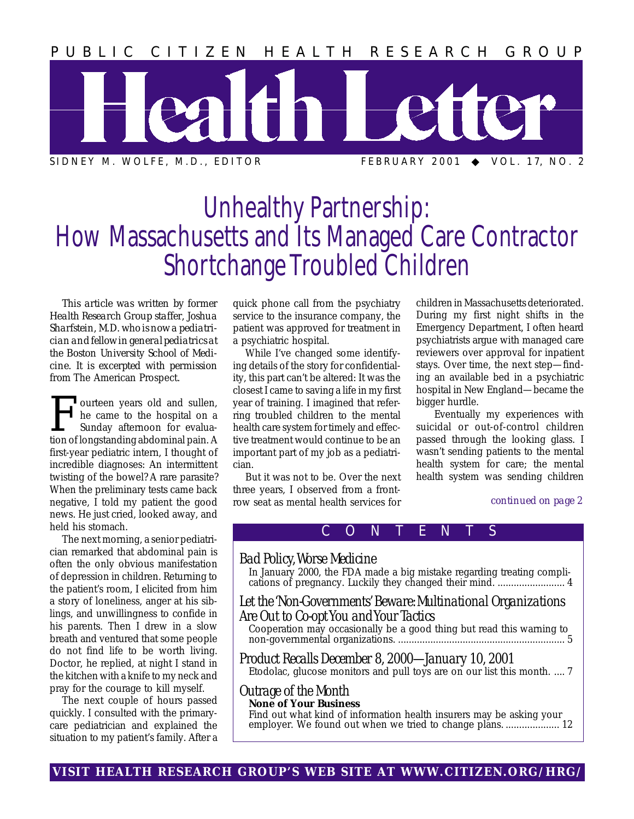## PUBLIC CITIZEN HEALTH RESEARCH GROUP



# Unhealthy Partnership: How Massachusetts and Its Managed Care Contractor Shortchange Troubled Children

*This article was written by former Health Research Group staffer, Joshua Sharfstein, M.D. who is now a pediatrician and fellow in general pediatrics at the Boston University School of Medicine. It is excerpted with permission from* The American Prospect*.*

ourteen years old and sullen, he came to the hospital on a Sunday afternoon for evaluation of longstanding abdominal pain. A first-year pediatric intern, I thought of incredible diagnoses: An intermittent twisting of the bowel? A rare parasite? When the preliminary tests came back negative, I told my patient the good news. He just cried, looked away, and held his stomach.

The next morning, a senior pediatrician remarked that abdominal pain is often the only obvious manifestation of depression in children. Returning to the patient's room, I elicited from him a story of loneliness, anger at his siblings, and unwillingness to confide in his parents. Then I drew in a slow breath and ventured that some people do not find life to be worth living. Doctor, he replied, at night I stand in the kitchen with a knife to my neck and pray for the courage to kill myself.

The next couple of hours passed quickly. I consulted with the primarycare pediatrician and explained the situation to my patient's family. After a quick phone call from the psychiatry service to the insurance company, the patient was approved for treatment in a psychiatric hospital.

While I've changed some identifying details of the story for confidentiality, this part can't be altered: It was the closest I came to saving a life in my first year of training. I imagined that referring troubled children to the mental health care system for timely and effective treatment would continue to be an important part of my job as a pediatrician.

But it was not to be. Over the next three years, I observed from a frontrow seat as mental health services for children in Massachusetts deteriorated. During my first night shifts in the Emergency Department, I often heard psychiatrists argue with managed care reviewers over approval for inpatient stays. Over time, the next step—finding an available bed in a psychiatric hospital in New England—became the bigger hurdle.

 Eventually my experiences with suicidal or out-of-control children passed through the looking glass. I wasn't sending patients to the mental health system for care; the mental health system was sending children

*continued on page 2*

## CONTENTS

## *Bad Policy, Worse Medicine*

In January 2000, the FDA made a big mistake regarding treating complications of pregnancy. Luckily they changed their mind. ......................... 4

## *Let the 'Non-Governments' Beware: Multinational Organizations Are Out to Co-opt You and Your Tactics*

Cooperation may occasionally be a good thing but read this warning to non-governmental organizations. .............................................................. 5

## *Product Recalls December 8, 2000—January 10, 2001*

Etodolac, glucose monitors and pull toys are on our list this month. .... 7

## *Outrage of the Month* **None of Your Business**

Find out what kind of information health insurers may be asking your employer. We found out when we tried to change plans. .................... 12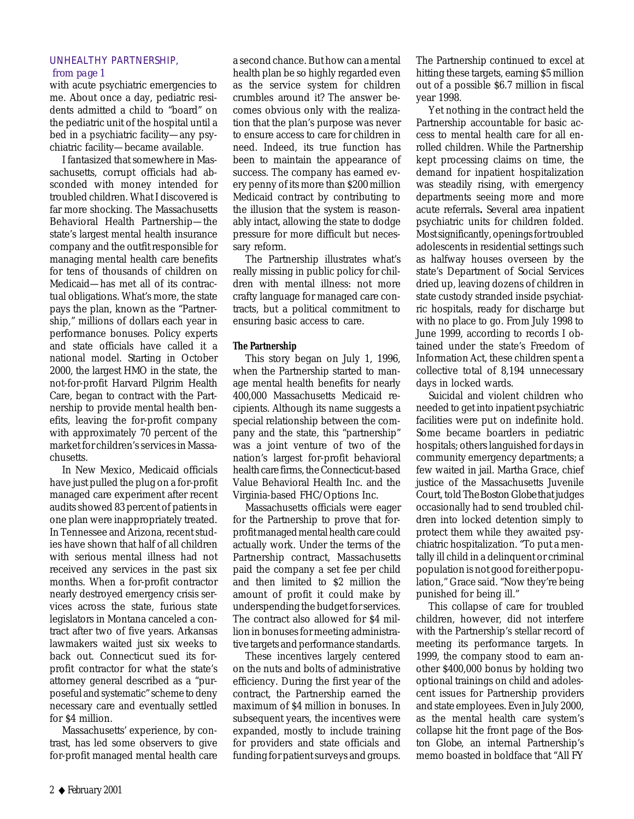## UNHEALTHY PARTNERSHIP,  *from page 1*

with acute psychiatric emergencies to me. About once a day, pediatric residents admitted a child to "board" on the pediatric unit of the hospital until a bed in a psychiatric facility—any psychiatric facility—became available.

I fantasized that somewhere in Massachusetts, corrupt officials had absconded with money intended for troubled children. What I discovered is far more shocking. The Massachusetts Behavioral Health Partnership—the state's largest mental health insurance company and the outfit responsible for managing mental health care benefits for tens of thousands of children on Medicaid—has met all of its contractual obligations. What's more, the state pays the plan, known as the "Partnership," millions of dollars each year in performance bonuses. Policy experts and state officials have called it a national model. Starting in October 2000, the largest HMO in the state, the not-for-profit Harvard Pilgrim Health Care, began to contract with the Partnership to provide mental health benefits, leaving the for-profit company with approximately 70 percent of the market for children's services in Massachusetts.

In New Mexico, Medicaid officials have just pulled the plug on a for-profit managed care experiment after recent audits showed 83 percent of patients in one plan were inappropriately treated. In Tennessee and Arizona, recent studies have shown that half of all children with serious mental illness had not received any services in the past six months. When a for-profit contractor nearly destroyed emergency crisis services across the state, furious state legislators in Montana canceled a contract after two of five years. Arkansas lawmakers waited just six weeks to back out. Connecticut sued its forprofit contractor for what the state's attorney general described as a "purposeful and systematic" scheme to deny necessary care and eventually settled for \$4 million.

Massachusetts' experience, by contrast, has led some observers to give for-profit managed mental health care a second chance. But how can a mental health plan be so highly regarded even as the service system for children crumbles around it? The answer becomes obvious only with the realization that the plan's purpose was never to ensure access to care for children in need. Indeed, its true function has been to maintain the appearance of success. The company has earned every penny of its more than \$200 million Medicaid contract by contributing to the illusion that the system is reasonably intact, allowing the state to dodge pressure for more difficult but necessary reform.

The Partnership illustrates what's really missing in public policy for children with mental illness: not more crafty language for managed care contracts, but a political commitment to ensuring basic access to care.

## **The Partnership**

This story began on July 1, 1996, when the Partnership started to manage mental health benefits for nearly 400,000 Massachusetts Medicaid recipients. Although its name suggests a special relationship between the company and the state, this "partnership" was a joint venture of two of the nation's largest for-profit behavioral health care firms, the Connecticut-based Value Behavioral Health Inc. and the Virginia-based FHC/Options Inc.

Massachusetts officials were eager for the Partnership to prove that forprofit managed mental health care could actually work. Under the terms of the Partnership contract, Massachusetts paid the company a set fee per child and then limited to \$2 million the amount of profit it could make by underspending the budget for services. The contract also allowed for \$4 million in bonuses for meeting administrative targets and performance standards.

These incentives largely centered on the nuts and bolts of administrative efficiency. During the first year of the contract, the Partnership earned the maximum of \$4 million in bonuses. In subsequent years, the incentives were expanded, mostly to include training for providers and state officials and funding for patient surveys and groups.

The Partnership continued to excel at hitting these targets, earning \$5 million out of a possible \$6.7 million in fiscal year 1998.

Yet nothing in the contract held the Partnership accountable for basic access to mental health care for all enrolled children. While the Partnership kept processing claims on time, the demand for inpatient hospitalization was steadily rising, with emergency departments seeing more and more acute referrals**.** Several area inpatient psychiatric units for children folded. Most significantly, openings for troubled adolescents in residential settings such as halfway houses overseen by the state's Department of Social Services dried up, leaving dozens of children in state custody stranded inside psychiatric hospitals, ready for discharge but with no place to go. From July 1998 to June 1999, according to records I obtained under the state's Freedom of Information Act, these children spent a collective total of 8,194 unnecessary days in locked wards.

Suicidal and violent children who needed to get into inpatient psychiatric facilities were put on indefinite hold. Some became boarders in pediatric hospitals; others languished for days in community emergency departments; a few waited in jail. Martha Grace, chief justice of the Massachusetts Juvenile Court, told *The Boston Globe* that judges occasionally had to send troubled children into locked detention simply to protect them while they awaited psychiatric hospitalization. "To put a mentally ill child in a delinquent or criminal population is not good for either population," Grace said. "Now they're being punished for being ill."

This collapse of care for troubled children, however, did not interfere with the Partnership's stellar record of meeting its performance targets. In 1999, the company stood to earn another \$400,000 bonus by holding two optional trainings on child and adolescent issues for Partnership providers and state employees. Even in July 2000, as the mental health care system's collapse hit the front page of the *Boston Globe*, an internal Partnership's memo boasted in boldface that "All FY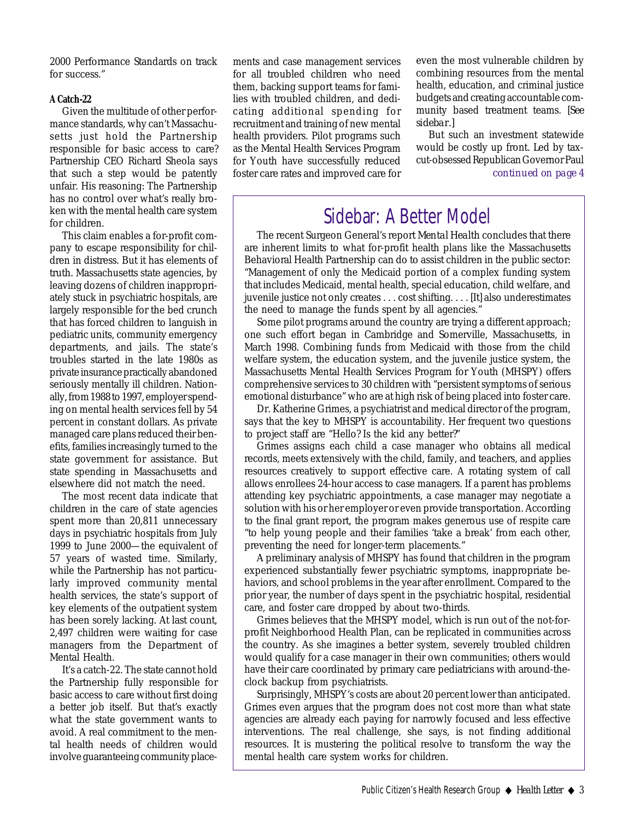2000 Performance Standards on track for success."

## **A Catch-22**

Given the multitude of other performance standards, why can't Massachusetts just hold the Partnership responsible for basic access to care? Partnership CEO Richard Sheola says that such a step would be patently unfair. His reasoning: The Partnership has no control over what's really broken with the mental health care system for children.

This claim enables a for-profit company to escape responsibility for children in distress. But it has elements of truth. Massachusetts state agencies, by leaving dozens of children inappropriately stuck in psychiatric hospitals, are largely responsible for the bed crunch that has forced children to languish in pediatric units, community emergency departments, and jails. The state's troubles started in the late 1980s as private insurance practically abandoned seriously mentally ill children. Nationally, from 1988 to 1997, employer spending on mental health services fell by 54 percent in constant dollars. As private managed care plans reduced their benefits, families increasingly turned to the state government for assistance. But state spending in Massachusetts and elsewhere did not match the need.

The most recent data indicate that children in the care of state agencies spent more than 20,811 unnecessary days in psychiatric hospitals from July 1999 to June 2000—the equivalent of 57 years of wasted time. Similarly, while the Partnership has not particularly improved community mental health services, the state's support of key elements of the outpatient system has been sorely lacking. At last count, 2,497 children were waiting for case managers from the Department of Mental Health.

It's a catch-22. The state cannot hold the Partnership fully responsible for basic access to care without first doing a better job itself. But that's exactly what the state government wants to avoid. A real commitment to the mental health needs of children would involve guaranteeing community placements and case management services for all troubled children who need them, backing support teams for families with troubled children, and dedicating additional spending for recruitment and training of new mental health providers. Pilot programs such as the Mental Health Services Program for Youth have successfully reduced foster care rates and improved care for

even the most vulnerable children by combining resources from the mental health, education, and criminal justice budgets and creating accountable community based treatment teams. *[See sidebar.]*

*continued on page 4* But such an investment statewide would be costly up front. Led by taxcut-obsessed Republican Governor Paul

## Sidebar: A Better Model

The recent Surgeon General's report *Mental Health* concludes that there are inherent limits to what for-profit health plans like the Massachusetts Behavioral Health Partnership can do to assist children in the public sector: "Management of only the Medicaid portion of a complex funding system that includes Medicaid, mental health, special education, child welfare, and juvenile justice not only creates . . . cost shifting. . . . [It] also underestimates the need to manage the funds spent by all agencies."

Some pilot programs around the country are trying a different approach; one such effort began in Cambridge and Somerville, Massachusetts, in March 1998. Combining funds from Medicaid with those from the child welfare system, the education system, and the juvenile justice system, the Massachusetts Mental Health Services Program for Youth (MHSPY) offers comprehensive services to 30 children with "persistent symptoms of serious emotional disturbance" who are at high risk of being placed into foster care.

Dr. Katherine Grimes, a psychiatrist and medical director of the program, says that the key to MHSPY is accountability. Her frequent two questions to project staff are "Hello? Is the kid any better?"

Grimes assigns each child a case manager who obtains all medical records, meets extensively with the child, family, and teachers, and applies resources creatively to support effective care. A rotating system of call allows enrollees 24-hour access to case managers. If a parent has problems attending key psychiatric appointments, a case manager may negotiate a solution with his or her employer or even provide transportation. According to the final grant report, the program makes generous use of respite care "to help young people and their families 'take a break' from each other, preventing the need for longer-term placements."

A preliminary analysis of MHSPY has found that children in the program experienced substantially fewer psychiatric symptoms, inappropriate behaviors, and school problems in the year after enrollment. Compared to the prior year, the number of days spent in the psychiatric hospital, residential care, and foster care dropped by about two-thirds.

Grimes believes that the MHSPY model, which is run out of the not-forprofit Neighborhood Health Plan, can be replicated in communities across the country. As she imagines a better system, severely troubled children would qualify for a case manager in their own communities; others would have their care coordinated by primary care pediatricians with around-theclock backup from psychiatrists.

Surprisingly, MHSPY's costs are about 20 percent lower than anticipated. Grimes even argues that the program does not cost more than what state agencies are already each paying for narrowly focused and less effective interventions. The real challenge, she says, is not finding additional resources. It is mustering the political resolve to transform the way the mental health care system works for children.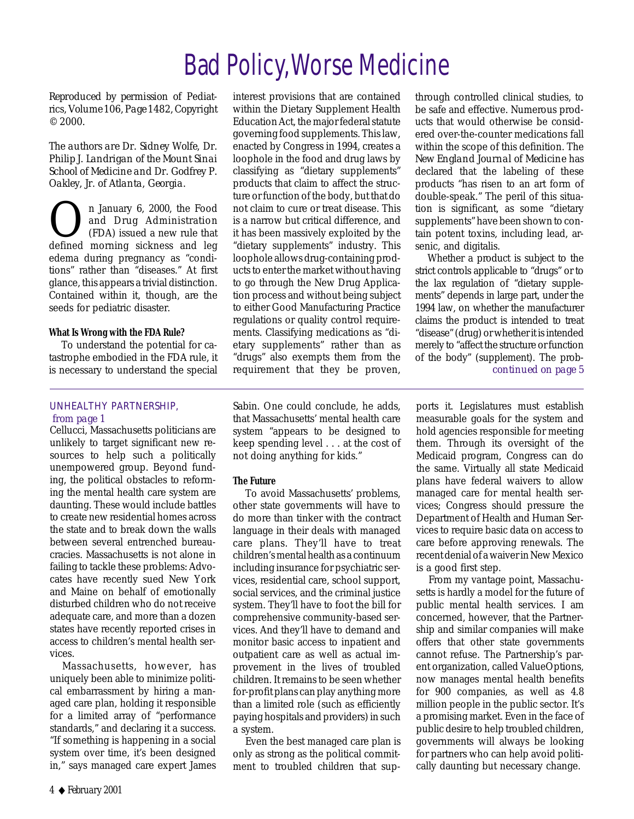# Bad Policy, Worse Medicine

*Reproduced by permission of* Pediatrics, *Volume 106, Page 1482, Copyright © 2000.*

*The authors are Dr. Sidney Wolfe, Dr. Philip J. Landrigan of the Mount Sinai School of Medicine and Dr. Godfrey P. Oakley, Jr. of Atlanta, Georgia.*

**On** January 6, 2000, the Food<br>and Drug Administration<br>(FDA) issued a new rule that<br>defined morning sickness and leg and Drug Administration (FDA) issued a new rule that defined morning sickness and leg edema during pregnancy as "conditions" rather than "diseases." At first glance, this appears a trivial distinction. Contained within it, though, are the seeds for pediatric disaster.

## **What Is Wrong with the FDA Rule?**

To understand the potential for catastrophe embodied in the FDA rule, it is necessary to understand the special

## UNHEALTHY PARTNERSHIP,

### *from page 1*

Cellucci, Massachusetts politicians are unlikely to target significant new resources to help such a politically unempowered group. Beyond funding, the political obstacles to reforming the mental health care system are daunting. These would include battles to create new residential homes across the state and to break down the walls between several entrenched bureaucracies. Massachusetts is not alone in failing to tackle these problems: Advocates have recently sued New York and Maine on behalf of emotionally disturbed children who do not receive adequate care, and more than a dozen states have recently reported crises in access to children's mental health services.

Massachusetts, however, has uniquely been able to minimize political embarrassment by hiring a managed care plan, holding it responsible for a limited array of "performance standards," and declaring it a success. "If something is happening in a social system over time, it's been designed in," says managed care expert James interest provisions that are contained within the Dietary Supplement Health Education Act, the major federal statute governing food supplements. This law, enacted by Congress in 1994, creates a loophole in the food and drug laws by classifying as "dietary supplements" products that claim to affect the structure or function of the body, but that do not claim to cure or treat disease. This is a narrow but critical difference, and it has been massively exploited by the "dietary supplements" industry. This loophole allows drug-containing products to enter the market without having to go through the New Drug Application process and without being subject to either Good Manufacturing Practice regulations or quality control requirements. Classifying medications as "dietary supplements" rather than as "drugs" also exempts them from the requirement that they be proven,

Sabin. One could conclude, he adds, that Massachusetts' mental health care system "appears to be designed to keep spending level . . . at the cost of not doing anything for kids."

#### **The Future**

To avoid Massachusetts' problems, other state governments will have to do more than tinker with the contract language in their deals with managed care plans. They'll have to treat children's mental health as a continuum including insurance for psychiatric services, residential care, school support, social services, and the criminal justice system. They'll have to foot the bill for comprehensive community-based services. And they'll have to demand and monitor basic access to inpatient and outpatient care as well as actual improvement in the lives of troubled children. It remains to be seen whether for-profit plans can play anything more than a limited role (such as efficiently paying hospitals and providers) in such a system.

Even the best managed care plan is only as strong as the political commitment to troubled children that sup-

through controlled clinical studies, to be safe and effective. Numerous products that would otherwise be considered over-the-counter medications fall within the scope of this definition. The *New England Journal of Medicine* has declared that the labeling of these products "has risen to an art form of double-speak." The peril of this situation is significant, as some "dietary supplements" have been shown to contain potent toxins, including lead, arsenic, and digitalis.

Whether a product is subject to the strict controls applicable to "drugs" or to the lax regulation of "dietary supplements" depends in large part, under the 1994 law, on whether the manufacturer claims the product is intended to treat "disease" (drug) or whether it is intended merely to "affect the structure or function of the body" (supplement). The prob*continued on page 5*

ports it. Legislatures must establish measurable goals for the system and hold agencies responsible for meeting them. Through its oversight of the Medicaid program, Congress can do the same. Virtually all state Medicaid plans have federal waivers to allow managed care for mental health services; Congress should pressure the Department of Health and Human Services to require basic data on access to care before approving renewals. The recent denial of a waiver in New Mexico is a good first step.

From my vantage point, Massachusetts is hardly a model for the future of public mental health services. I am concerned, however, that the Partnership and similar companies will make offers that other state governments cannot refuse. The Partnership's parent organization, called ValueOptions, now manages mental health benefits for 900 companies, as well as 4.8 million people in the public sector. It's a promising market. Even in the face of public desire to help troubled children, governments will always be looking for partners who can help avoid politically daunting but necessary change.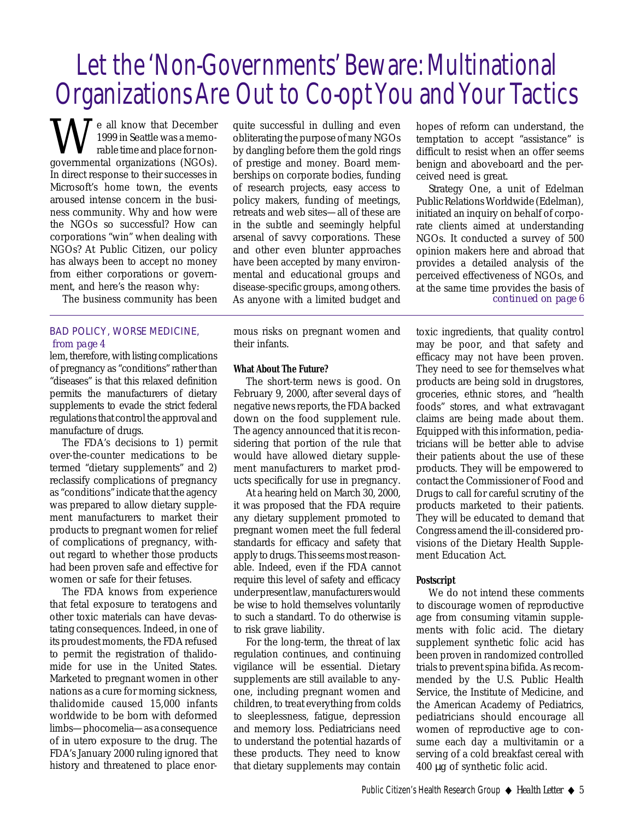# Let the 'Non-Governments' Beware: Multinational Organizations Are Out to Co-opt You and Your Tactics

 $\sum_{n=1}^{\infty} \sum_{n=1}^{\infty}$  e all know that December 1999 in Seattle was a memorable time and place for nongovernmental organizations (NGOs). In direct response to their successes in Microsoft's home town, the events aroused intense concern in the business community. Why and how were the NGOs so successful? How can corporations "win" when dealing with NGOs? At Public Citizen, our policy has always been to accept no money from either corporations or government, and here's the reason why:

The business community has been

## BAD POLICY, WORSE MEDICINE,  *from page 4*

lem, therefore, with listing complications of pregnancy as "conditions" rather than "diseases" is that this relaxed definition permits the manufacturers of dietary supplements to evade the strict federal regulations that control the approval and manufacture of drugs.

The FDA's decisions to 1) permit over-the-counter medications to be termed "dietary supplements" and 2) reclassify complications of pregnancy as "conditions" indicate that the agency was prepared to allow dietary supplement manufacturers to market their products to pregnant women for relief of complications of pregnancy, without regard to whether those products had been proven safe and effective for women or safe for their fetuses.

The FDA knows from experience that fetal exposure to teratogens and other toxic materials can have devastating consequences. Indeed, in one of its proudest moments, the FDA refused to permit the registration of thalidomide for use in the United States. Marketed to pregnant women in other nations as a cure for morning sickness, thalidomide caused 15,000 infants worldwide to be born with deformed limbs—phocomelia—as a consequence of in utero exposure to the drug. The FDA's January 2000 ruling ignored that history and threatened to place enor-

quite successful in dulling and even obliterating the purpose of many NGOs by dangling before them the gold rings of prestige and money. Board memberships on corporate bodies, funding of research projects, easy access to policy makers, funding of meetings, retreats and web sites—all of these are in the subtle and seemingly helpful arsenal of savvy corporations. These and other even blunter approaches have been accepted by many environmental and educational groups and disease-specific groups, among others. As anyone with a limited budget and

mous risks on pregnant women and their infants.

## **What About The Future?**

The short-term news is good. On February 9, 2000, after several days of negative news reports, the FDA backed down on the food supplement rule. The agency announced that it is reconsidering that portion of the rule that would have allowed dietary supplement manufacturers to market products specifically for use in pregnancy.

At a hearing held on March 30, 2000, it was proposed that the FDA require any dietary supplement promoted to pregnant women meet the full federal standards for efficacy and safety that apply to drugs. This seems most reasonable. Indeed, even if the FDA cannot require this level of safety and efficacy under present law, manufacturers would be wise to hold themselves voluntarily to such a standard. To do otherwise is to risk grave liability.

For the long-term, the threat of lax regulation continues, and continuing vigilance will be essential. Dietary supplements are still available to anyone, including pregnant women and children, to treat everything from colds to sleeplessness, fatigue, depression and memory loss. Pediatricians need to understand the potential hazards of these products. They need to know that dietary supplements may contain

hopes of reform can understand, the temptation to accept "assistance" is difficult to resist when an offer seems benign and aboveboard and the perceived need is great.

Strategy One, a unit of Edelman Public Relations Worldwide (Edelman), initiated an inquiry on behalf of corporate clients aimed at understanding NGOs. It conducted a survey of 500 opinion makers here and abroad that provides a detailed analysis of the perceived effectiveness of NGOs, and at the same time provides the basis of *continued on page 6*

toxic ingredients, that quality control may be poor, and that safety and efficacy may not have been proven. They need to see for themselves what products are being sold in drugstores, groceries, ethnic stores, and "health foods" stores, and what extravagant claims are being made about them. Equipped with this information, pediatricians will be better able to advise their patients about the use of these products. They will be empowered to contact the Commissioner of Food and Drugs to call for careful scrutiny of the products marketed to their patients. They will be educated to demand that Congress amend the ill-considered provisions of the Dietary Health Supplement Education Act.

## **Postscript**

We do not intend these comments to discourage women of reproductive age from consuming vitamin supplements with folic acid. The dietary supplement synthetic folic acid has been proven in randomized controlled trials to prevent spina bifida. As recommended by the U.S. Public Health Service, the Institute of Medicine, and the American Academy of Pediatrics, pediatricians should encourage all women of reproductive age to consume each day a multivitamin or a serving of a cold breakfast cereal with 400 µg of synthetic folic acid.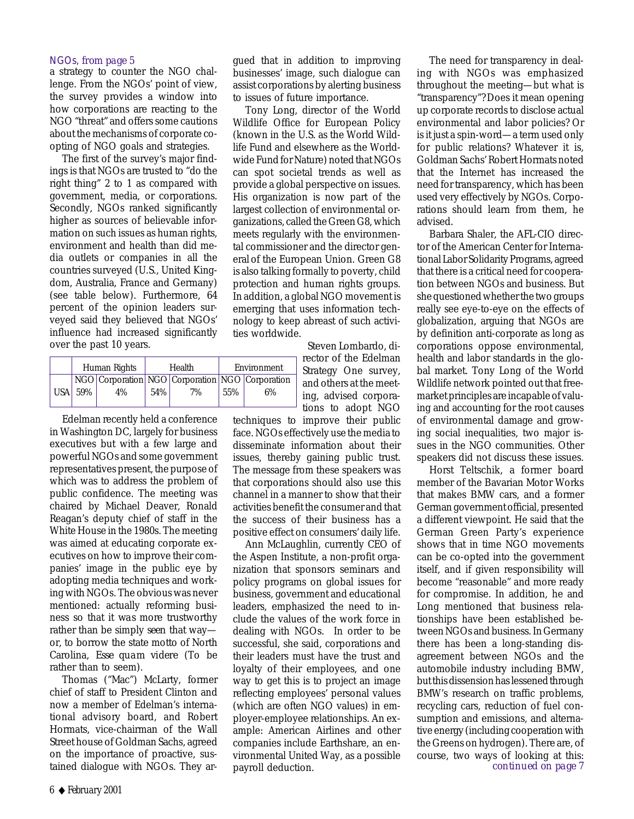## NGOs, *from page 5*

a strategy to counter the NGO challenge. From the NGOs' point of view, the survey provides a window into how corporations are reacting to the NGO "threat" and offers some cautions about the mechanisms of corporate coopting of NGO goals and strategies.

The first of the survey's major findings is that NGOs are trusted to "do the right thing" 2 to 1 as compared with government, media, or corporations. Secondly, NGOs ranked significantly higher as sources of believable information on such issues as human rights, environment and health than did media outlets or companies in all the countries surveyed (U.S., United Kingdom, Australia, France and Germany) (see table below). Furthermore, 64 percent of the opinion leaders surveyed said they believed that NGOs' influence had increased significantly over the past 10 years.

| Human Rights |    | Health |                                                       | Environment |    |
|--------------|----|--------|-------------------------------------------------------|-------------|----|
| USA $59%$    | 4% | 54%    | NGO Corporation NGO Corporation NGO Corporation<br>7% | 55%         | 6% |

Edelman recently held a conference in Washington DC, largely for business executives but with a few large and powerful NGOs and some government representatives present, the purpose of which was to address the problem of public confidence. The meeting was chaired by Michael Deaver, Ronald Reagan's deputy chief of staff in the White House in the 1980s. The meeting was aimed at educating corporate executives on how to improve their companies' image in the public eye by adopting media techniques and working with NGOs. The obvious was never mentioned: actually reforming business so that it *was* more trustworthy rather than be simply *seen* that way or, to borrow the state motto of North Carolina, *Esse quam videre* (To be rather than to seem).

Thomas ("Mac") McLarty, former chief of staff to President Clinton and now a member of Edelman's international advisory board, and Robert Hormats, vice-chairman of the Wall Street house of Goldman Sachs, agreed on the importance of proactive, sustained dialogue with NGOs. They ar-

Tony Long, director of the World Wildlife Office for European Policy (known in the U.S. as the World Wildlife Fund and elsewhere as the Worldwide Fund for Nature) noted that NGOs can spot societal trends as well as provide a global perspective on issues. His organization is now part of the largest collection of environmental organizations, called the Green G8, which meets regularly with the environmental commissioner and the director general of the European Union. Green G8 is also talking formally to poverty, child protection and human rights groups. In addition, a global NGO movement is emerging that uses information technology to keep abreast of such activities worldwide.

Steven Lombardo, director of the Edelman Strategy One survey, and others at the meeting, advised corporations to adopt NGO

techniques to improve their public face. NGOs effectively use the media to disseminate information about their issues, thereby gaining public trust. The message from these speakers was that corporations should also use this channel in a manner to show that their activities benefit the consumer and that the success of their business has a positive effect on consumers' daily life.

Ann McLaughlin, currently CEO of the Aspen Institute, a non-profit organization that sponsors seminars and policy programs on global issues for business, government and educational leaders, emphasized the need to include the values of the work force in dealing with NGOs. In order to be successful, she said, corporations and their leaders must have the trust and loyalty of their employees, and one way to get this is to project an image reflecting employees' personal values (which are often NGO values) in employer-employee relationships. An example: American Airlines and other companies include Earthshare, an environmental United Way, as a possible payroll deduction.

The need for transparency in dealing with NGOs was emphasized throughout the meeting—but what is "transparency"? Does it mean opening up corporate records to disclose actual environmental and labor policies? Or is it just a spin-word—a term used only for public relations? Whatever it is, Goldman Sachs' Robert Hormats noted that the Internet has increased the need for transparency, which has been used very effectively by NGOs. Corporations should learn from them, he advised.

Barbara Shaler, the AFL-CIO director of the American Center for International Labor Solidarity Programs, agreed that there is a critical need for cooperation between NGOs and business. But she questioned whether the two groups really see eye-to-eye on the effects of globalization, arguing that NGOs are by definition anti-corporate as long as corporations oppose environmental, health and labor standards in the global market. Tony Long of the World Wildlife network pointed out that freemarket principles are incapable of valuing and accounting for the root causes of environmental damage and growing social inequalities, two major issues in the NGO communities. Other speakers did not discuss these issues.

Horst Teltschik, a former board member of the Bavarian Motor Works that makes BMW cars, and a former German government official, presented a different viewpoint. He said that the German Green Party's experience shows that in time NGO movements can be co-opted into the government itself, and if given responsibility will become "reasonable" and more ready for compromise. In addition, he and Long mentioned that business relationships have been established between NGOs and business. In Germany there has been a long-standing disagreement between NGOs and the automobile industry including BMW, but this dissension has lessened through BMW's research on traffic problems, recycling cars, reduction of fuel consumption and emissions, and alternative energy (including cooperation with the Greens on hydrogen). There are, of course, two ways of looking at this: *continued on page 7*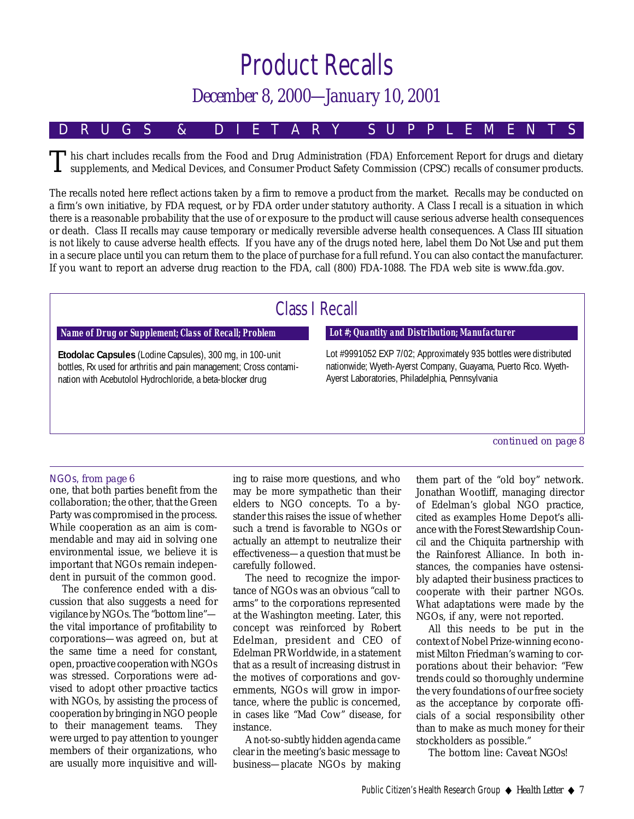# Product Recalls

*December 8, 2000—January 10, 2001*

## DRUGS & DIETARY SUPPLEMENTS

 $\Gamma$  his chart includes recalls from the Food and Drug Administration (FDA) Enforcement Report for drugs and dietary supplements, and Medical Devices, and Consumer Product Safety Commission (CPSC) recalls of consumer products.

The recalls noted here reflect actions taken by a firm to remove a product from the market. Recalls may be conducted on a firm's own initiative, by FDA request, or by FDA order under statutory authority. A Class I recall is a situation in which there is a reasonable probability that the use of or exposure to the product will cause serious adverse health consequences or death. Class II recalls may cause temporary or medically reversible adverse health consequences. A Class III situation is not likely to cause adverse health effects. If you have any of the drugs noted here, label them *Do Not Use* and put them in a secure place until you can return them to the place of purchase for a full refund. You can also contact the manufacturer. If you want to report an adverse drug reaction to the FDA, call (800) FDA-1088. The FDA web site is *www.fda.gov.*

## Class I Recall

## *Name of Drug or Supplement; Class of Recall; Problem Lot #; Quantity and Distribution; Manufacturer*

**Etodolac Capsules** (Lodine Capsules), 300 mg, in 100-unit bottles, Rx used for arthritis and pain management; Cross contamination with Acebutolol Hydrochloride, a beta-blocker drug

Lot #9991052 EXP 7/02; Approximately 935 bottles were distributed nationwide; Wyeth-Ayerst Company, Guayama, Puerto Rico. Wyeth-Ayerst Laboratories, Philadelphia, Pennsylvania

*continued on page 8*

## NGOs, *from page 6*

one, that both parties benefit from the collaboration; the other, that the Green Party was compromised in the process. While cooperation as an aim is commendable and may aid in solving one environmental issue, we believe it is important that NGOs remain independent in pursuit of the common good.

The conference ended with a discussion that also suggests a need for vigilance by NGOs. The "bottom line" the vital importance of profitability to corporations—was agreed on, but at the same time a need for constant, open, proactive cooperation with NGOs was stressed. Corporations were advised to adopt other proactive tactics with NGOs, by assisting the process of cooperation by bringing in NGO people to their management teams. They were urged to pay attention to younger members of their organizations, who are usually more inquisitive and willing to raise more questions, and who may be more sympathetic than their elders to NGO concepts. To a bystander this raises the issue of whether such a trend is favorable to NGOs or actually an attempt to neutralize their effectiveness—a question that must be carefully followed.

The need to recognize the importance of NGOs was an obvious "call to arms" to the corporations represented at the Washington meeting. Later, this concept was reinforced by Robert Edelman, president and CEO of Edelman PR Worldwide, in a statement that as a result of increasing distrust in the motives of corporations and governments, NGOs will grow in importance, where the public is concerned, in cases like "Mad Cow" disease, for instance.

A not-so-subtly hidden agenda came clear in the meeting's basic message to business—placate NGOs by making them part of the "old boy" network. Jonathan Wootliff, managing director of Edelman's global NGO practice, cited as examples Home Depot's alliance with the Forest Stewardship Council and the Chiquita partnership with the Rainforest Alliance. In both instances, the companies have ostensibly adapted their business practices to cooperate with their partner NGOs. What adaptations were made by the NGOs, if any, were not reported.

All this needs to be put in the context of Nobel Prize-winning economist Milton Friedman's warning to corporations about their behavior: "Few trends could so thoroughly undermine the very foundations of our free society as the acceptance by corporate officials of a social responsibility other than to make as much money for their stockholders as possible."

The bottom line: *Caveat NGOs*!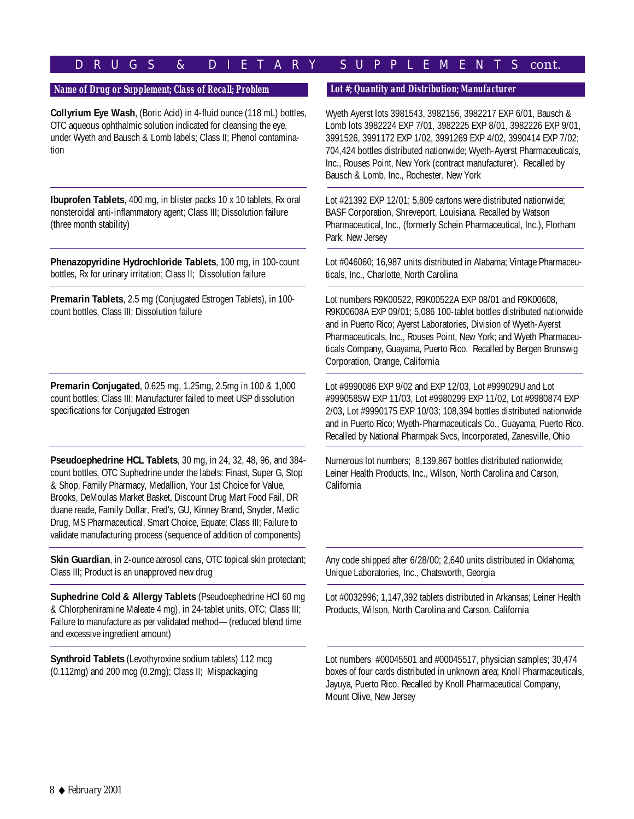## DRUGS & DIETARY SUPPLEMENTS *cont.*

## *Name of Drug or Supplement; Class of Recall; Problem Lot #; Quantity and Distribution; Manufacturer*

**Collyrium Eye Wash**, (Boric Acid) in 4-fluid ounce (118 mL) bottles, OTC aqueous ophthalmic solution indicated for cleansing the eye, under Wyeth and Bausch & Lomb labels; Class II; Phenol contamination

**Ibuprofen Tablets**, 400 mg, in blister packs 10 x 10 tablets, Rx oral nonsteroidal anti-inflammatory agent; Class III; Dissolution failure (three month stability)

**Phenazopyridine Hydrochloride Tablets**, 100 mg, in 100-count bottles, Rx for urinary irritation; Class II; Dissolution failure

**Premarin Tablets**, 2.5 mg (Conjugated Estrogen Tablets), in 100 count bottles, Class III; Dissolution failure

**Premarin Conjugated**, 0.625 mg, 1.25mg, 2.5mg in 100 & 1,000 count bottles; Class III; Manufacturer failed to meet USP dissolution specifications for Conjugated Estrogen

**Pseudoephedrine HCL Tablets**, 30 mg, in 24, 32, 48, 96, and 384 count bottles, OTC Suphedrine under the labels: Finast, Super G, Stop & Shop, Family Pharmacy, Medallion, Your 1st Choice for Value, Brooks, DeMoulas Market Basket, Discount Drug Mart Food Fail, DR duane reade, Family Dollar, Fred's, GU, Kinney Brand, Snyder, Medic Drug, MS Pharmaceutical, Smart Choice, Equate; Class III; Failure to validate manufacturing process (sequence of addition of components)

**Skin Guardian**, in 2-ounce aerosol cans, OTC topical skin protectant; Class III; Product is an unapproved new drug

**Suphedrine Cold & Allergy Tablets** (Pseudoephedrine HCl 60 mg & Chlorpheniramine Maleate 4 mg), in 24-tablet units, OTC; Class III; Failure to manufacture as per validated method—(reduced blend time and excessive ingredient amount)

**Synthroid Tablets** (Levothyroxine sodium tablets) 112 mcg (0.112mg) and 200 mcg (0.2mg); Class II; Mispackaging

Wyeth Ayerst lots 3981543, 3982156, 3982217 EXP 6/01, Bausch & Lomb lots 3982224 EXP 7/01, 3982225 EXP 8/01, 3982226 EXP 9/01, 3991526, 3991172 EXP 1/02, 3991269 EXP 4/02, 3990414 EXP 7/02; 704,424 bottles distributed nationwide; Wyeth-Ayerst Pharmaceuticals, Inc., Rouses Point, New York (contract manufacturer). Recalled by Bausch & Lomb, Inc., Rochester, New York

Lot #21392 EXP 12/01; 5,809 cartons were distributed nationwide; BASF Corporation, Shreveport, Louisiana. Recalled by Watson Pharmaceutical, Inc., (formerly Schein Pharmaceutical, Inc.), Florham Park, New Jersey

Lot #046060; 16,987 units distributed in Alabama; Vintage Pharmaceuticals, Inc., Charlotte, North Carolina

Lot numbers R9K00522, R9K00522A EXP 08/01 and R9K00608, R9K00608A EXP 09/01; 5,086 100-tablet bottles distributed nationwide and in Puerto Rico; Ayerst Laboratories, Division of Wyeth-Ayerst Pharmaceuticals, Inc., Rouses Point, New York; and Wyeth Pharmaceuticals Company, Guayama, Puerto Rico. Recalled by Bergen Brunswig Corporation, Orange, California

Lot #9990086 EXP 9/02 and EXP 12/03, Lot #999029U and Lot #9990585W EXP 11/03, Lot #9980299 EXP 11/02, Lot #9980874 EXP 2/03, Lot #9990175 EXP 10/03; 108,394 bottles distributed nationwide and in Puerto Rico; Wyeth-Pharmaceuticals Co., Guayama, Puerto Rico. Recalled by National Pharmpak Svcs, Incorporated, Zanesville, Ohio

Numerous lot numbers; 8,139,867 bottles distributed nationwide; Leiner Health Products, Inc., Wilson, North Carolina and Carson, California

Any code shipped after 6/28/00; 2,640 units distributed in Oklahoma; Unique Laboratories, Inc., Chatsworth, Georgia

Lot #0032996; 1,147,392 tablets distributed in Arkansas; Leiner Health Products, Wilson, North Carolina and Carson, California

Lot numbers #00045501 and #00045517, physician samples; 30,474 boxes of four cards distributed in unknown area; Knoll Pharmaceuticals, Jayuya, Puerto Rico. Recalled by Knoll Pharmaceutical Company, Mount Olive, New Jersey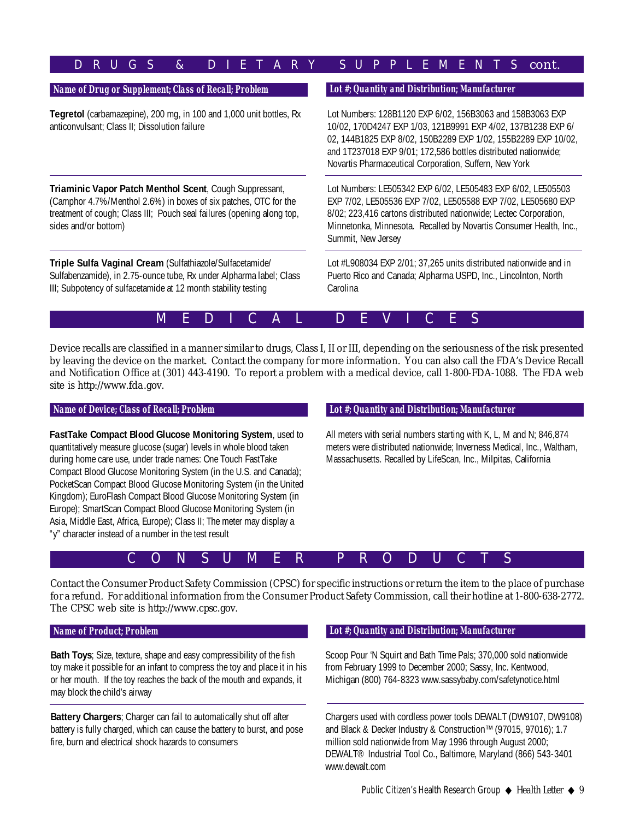## DRUGS & DIETARY SUPPLEMENTS *cont.*

| <b>Name of Drug or Supplement; Class of Recall; Problem</b>                                                                                                                                                                   | Lot #; Quantity and Distribution; Manufacturer                                                                                                                                                                                                                                                                         |  |  |
|-------------------------------------------------------------------------------------------------------------------------------------------------------------------------------------------------------------------------------|------------------------------------------------------------------------------------------------------------------------------------------------------------------------------------------------------------------------------------------------------------------------------------------------------------------------|--|--|
| Tegretol (carbamazepine), 200 mg, in 100 and 1,000 unit bottles, Rx<br>anticonvulsant; Class II; Dissolution failure                                                                                                          | Lot Numbers: 128B1120 EXP 6/02, 156B3063 and 158B3063 EXP<br>10/02, 170D4247 EXP 1/03, 121B9991 EXP 4/02, 137B1238 EXP 6/<br>02, 144B1825 EXP 8/02, 150B2289 EXP 1/02, 155B2289 EXP 10/02,<br>and 1T237018 EXP 9/01; 172,586 bottles distributed nationwide;<br>Novartis Pharmaceutical Corporation, Suffern, New York |  |  |
| Triaminic Vapor Patch Menthol Scent, Cough Suppressant,<br>(Camphor 4.7%/Menthol 2.6%) in boxes of six patches, OTC for the<br>treatment of cough; Class III; Pouch seal failures (opening along top,<br>sides and/or bottom) | Lot Numbers: LE505342 EXP 6/02, LE505483 EXP 6/02, LE505503<br>EXP 7/02, LE505536 EXP 7/02, LE505588 EXP 7/02, LE505680 EXP<br>8/02; 223,416 cartons distributed nationwide; Lectec Corporation,<br>Minnetonka, Minnesota. Recalled by Novartis Consumer Health, Inc.,<br>Summit, New Jersey                           |  |  |
| Triple Sulfa Vaginal Cream (Sulfathiazole/Sulfacetamide/<br>Sulfabenzamide), in 2.75-ounce tube, Rx under Alpharma label; Class<br>III; Subpotency of sulfacetamide at 12 month stability testing                             | Lot #L908034 EXP 2/01; 37,265 units distributed nationwide and in<br>Puerto Rico and Canada; Alpharma USPD, Inc., Lincolnton, North<br>Carolina                                                                                                                                                                        |  |  |
| Ю<br>M                                                                                                                                                                                                                        | н                                                                                                                                                                                                                                                                                                                      |  |  |

Device recalls are classified in a manner similar to drugs, Class I, II or III, depending on the seriousness of the risk presented by leaving the device on the market. Contact the company for more information. You can also call the FDA's Device Recall and Notification Office at (301) 443-4190. To report a problem with a medical device, call 1-800-FDA-1088. The FDA web site is *http://www.fda.gov.*

**FastTake Compact Blood Glucose Monitoring System**, used to quantitatively measure glucose (sugar) levels in whole blood taken during home care use, under trade names: One Touch FastTake Compact Blood Glucose Monitoring System (in the U.S. and Canada); PocketScan Compact Blood Glucose Monitoring System (in the United Kingdom); EuroFlash Compact Blood Glucose Monitoring System (in Europe); SmartScan Compact Blood Glucose Monitoring System (in Asia, Middle East, Africa, Europe); Class II; The meter may display a "y" character instead of a number in the test result

## *Name of Device; Class of Recall; Problem Lot #; Quantity and Distribution; Manufacturer*

All meters with serial numbers starting with K, L, M and N; 846,874 meters were distributed nationwide; Inverness Medical, Inc., Waltham, Massachusetts. Recalled by LifeScan, Inc., Milpitas, California

## CONSUMER PRODUCTS

Contact the Consumer Product Safety Commission (CPSC) for specific instructions or return the item to the place of purchase for a refund. For additional information from the Consumer Product Safety Commission, call their hotline at 1-800-638-2772. The CPSC web site is *http://www.cpsc.gov.*

**Bath Toys**; Size, texture, shape and easy compressibility of the fish toy make it possible for an infant to compress the toy and place it in his or her mouth. If the toy reaches the back of the mouth and expands, it may block the child's airway

**Battery Chargers**; Charger can fail to automatically shut off after battery is fully charged, which can cause the battery to burst, and pose fire, burn and electrical shock hazards to consumers

## *Name of Product; Problem Lot #; Quantity and Distribution; Manufacturer*

Scoop Pour 'N Squirt and Bath Time Pals; 370,000 sold nationwide from February 1999 to December 2000; Sassy, Inc. Kentwood, Michigan (800) 764-8323 www.sassybaby.com/safetynotice.html

Chargers used with cordless power tools DEWALT (DW9107, DW9108) and Black & Decker Industry & Construction™ (97015, 97016); 1.7 million sold nationwide from May 1996 through August 2000; DEWALT® Industrial Tool Co., Baltimore, Maryland (866) 543-3401 www.dewalt.com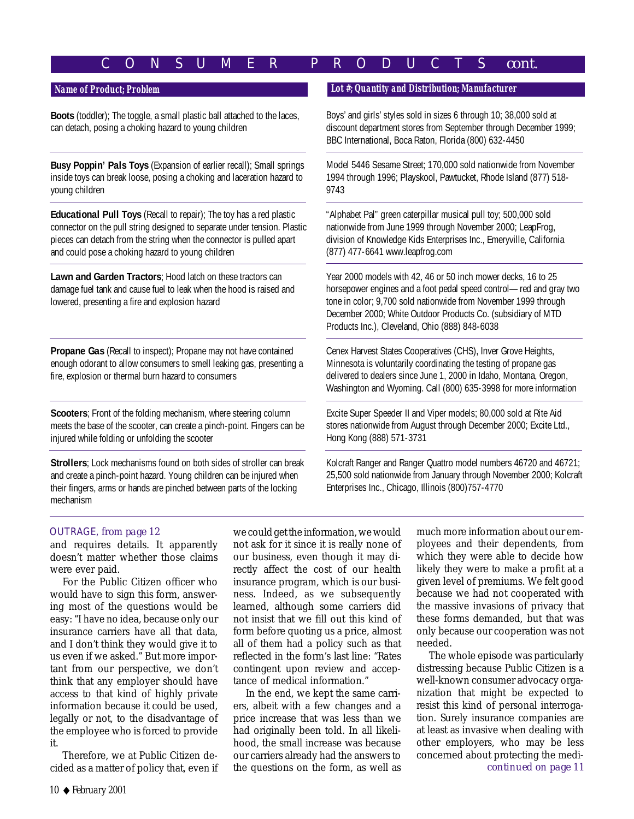## C O N S U M E R P R O D U C T S *cont.*

**Boots** (toddler); The toggle, a small plastic ball attached to the laces, can detach, posing a choking hazard to young children

**Busy Poppin' Pals Toys** (Expansion of earlier recall); Small springs inside toys can break loose, posing a choking and laceration hazard to young children

**Educational Pull Toys** (Recall to repair); The toy has a red plastic connector on the pull string designed to separate under tension. Plastic pieces can detach from the string when the connector is pulled apart and could pose a choking hazard to young children

**Lawn and Garden Tractors**; Hood latch on these tractors can damage fuel tank and cause fuel to leak when the hood is raised and lowered, presenting a fire and explosion hazard

**Propane Gas** (Recall to inspect); Propane may not have contained enough odorant to allow consumers to smell leaking gas, presenting a fire, explosion or thermal burn hazard to consumers

**Scooters**; Front of the folding mechanism, where steering column meets the base of the scooter, can create a pinch-point. Fingers can be injured while folding or unfolding the scooter

**Strollers**; Lock mechanisms found on both sides of stroller can break and create a pinch-point hazard. Young children can be injured when their fingers, arms or hands are pinched between parts of the locking mechanism

## *Name of Product; Problem Lot #; Quantity and Distribution; Manufacturer*

Boys' and girls' styles sold in sizes 6 through 10; 38,000 sold at discount department stores from September through December 1999; BBC International, Boca Raton, Florida (800) 632-4450

Model 5446 Sesame Street; 170,000 sold nationwide from November 1994 through 1996; Playskool, Pawtucket, Rhode Island (877) 518- 9743

"Alphabet Pal" green caterpillar musical pull toy; 500,000 sold nationwide from June 1999 through November 2000; LeapFrog, division of Knowledge Kids Enterprises Inc., Emeryville, California (877) 477-6641 www.leapfrog.com

Year 2000 models with 42, 46 or 50 inch mower decks, 16 to 25 horsepower engines and a foot pedal speed control—red and gray two tone in color; 9,700 sold nationwide from November 1999 through December 2000; White Outdoor Products Co. (subsidiary of MTD Products Inc.), Cleveland, Ohio (888) 848-6038

Cenex Harvest States Cooperatives (CHS), Inver Grove Heights, Minnesota is voluntarily coordinating the testing of propane gas delivered to dealers since June 1, 2000 in Idaho, Montana, Oregon, Washington and Wyoming. Call (800) 635-3998 for more information

Excite Super Speeder II and Viper models; 80,000 sold at Rite Aid stores nationwide from August through December 2000; Excite Ltd., Hong Kong (888) 571-3731

Kolcraft Ranger and Ranger Quattro model numbers 46720 and 46721; 25,500 sold nationwide from January through November 2000; Kolcraft Enterprises Inc., Chicago, Illinois (800)757-4770

### OUTRAGE, *from page 12*

and requires details. It apparently doesn't matter whether those claims were ever paid.

For the Public Citizen officer who would have to sign this form, answering most of the questions would be easy: "I have no idea, because only our insurance carriers have all that data, and I don't think they would give it to us even if we asked." But more important from our perspective, we don't think that any employer should have access to that kind of highly private information because it could be used, legally or not, to the disadvantage of the employee who is forced to provide it.

Therefore, we at Public Citizen decided as a matter of policy that, even if

we could get the information, we would not ask for it since it is really none of our business, even though it may directly affect the cost of our health insurance program, which *is* our business. Indeed, as we subsequently learned, although some carriers did not insist that we fill out this kind of form before quoting us a price, almost all of them had a policy such as that reflected in the form's last line: "Rates contingent upon review and acceptance of medical information."

In the end, we kept the same carriers, albeit with a few changes and a price increase that was less than we had originally been told. In all likelihood, the small increase was because our carriers already had the answers to the questions on the form, as well as

much more information about our employees and their dependents, from which they were able to decide how likely they were to make a profit at a given level of premiums. We felt good because we had not cooperated with the massive invasions of privacy that these forms demanded, but that was only because our cooperation was not needed.

The whole episode was particularly distressing because Public Citizen is a well-known consumer advocacy organization that might be expected to resist this kind of personal interrogation. Surely insurance companies are at least as invasive when dealing with other employers, who may be less concerned about protecting the medi*continued on page 11*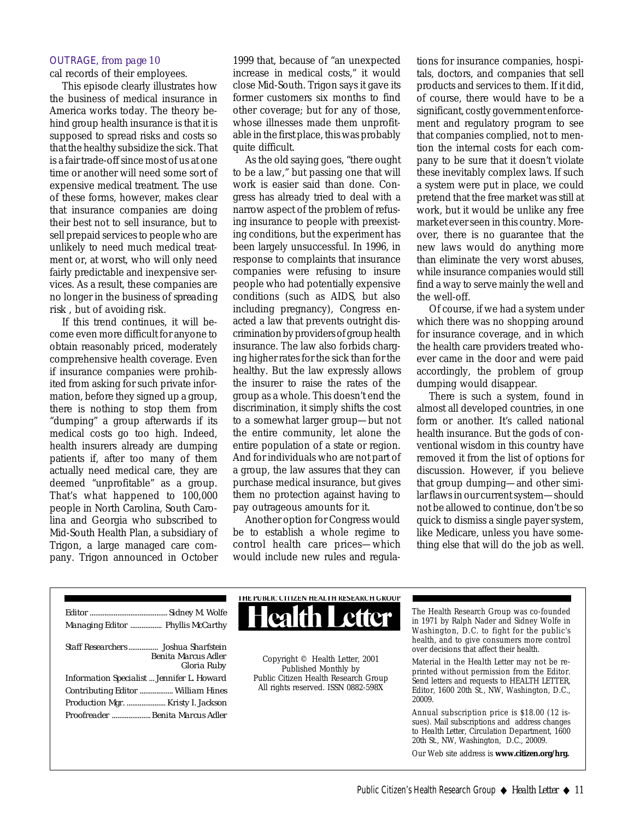### OUTRAGE, *from page 10*

cal records of their employees.

This episode clearly illustrates how the business of medical insurance in America works today. The theory behind group health insurance is that it is supposed to spread risks and costs so that the healthy subsidize the sick. That is a fair trade-off since most of us at one time or another will need some sort of expensive medical treatment. The use of these forms, however, makes clear that insurance companies are doing their best not to sell insurance, but to sell prepaid services to people who are unlikely to need much medical treatment or, at worst, who will only need fairly predictable and inexpensive services. As a result, these companies are no longer in the business of *spreading risk* , but of *avoiding* risk.

If this trend continues, it will become even more difficult for anyone to obtain reasonably priced, moderately comprehensive health coverage. Even if insurance companies were prohibited from asking for such private information, before they signed up a group, there is nothing to stop them from "dumping" a group afterwards if its medical costs go too high. Indeed, health insurers already are dumping patients if, after too many of them actually need medical care, they are deemed "unprofitable" as a group. That's what happened to 100,000 people in North Carolina, South Carolina and Georgia who subscribed to Mid-South Health Plan, a subsidiary of Trigon, a large managed care company. Trigon announced in October

1999 that, because of "an unexpected increase in medical costs," it would close Mid-South. Trigon says it gave its former customers six months to find other coverage; but for any of those, whose illnesses made them unprofitable in the first place, this was probably quite difficult.

As the old saying goes, "there ought to be a law," but passing one that will work is easier said than done. Congress has already tried to deal with a narrow aspect of the problem of refusing insurance to people with preexisting conditions, but the experiment has been largely unsuccessful. In 1996, in response to complaints that insurance companies were refusing to insure people who had potentially expensive conditions (such as AIDS, but also including pregnancy), Congress enacted a law that prevents outright discrimination by providers of group health insurance. The law also forbids charging higher rates for the sick than for the healthy. But the law expressly *allows* the insurer to raise the rates of the group as a whole. This doesn't end the discrimination, it simply shifts the cost to a somewhat larger group—but not the entire community, let alone the entire population of a state or region. And for individuals who are not part of a group, the law assures that they can purchase medical insurance, but gives them no protection against having to pay outrageous amounts for it.

Another option for Congress would be to establish a whole regime to control health care prices—which would include new rules and regulations for insurance companies, hospitals, doctors, and companies that sell products and services to them. If it did, of course, there would have to be a significant, costly government enforcement and regulatory program to see that companies complied, not to mention the internal costs for each company to be sure that it doesn't violate these inevitably complex laws. If such a system were put in place, we could pretend that the free market was still at work, but it would be unlike any free market ever seen in this country. Moreover, there is no guarantee that the new laws would do anything more than eliminate the very worst abuses, while insurance companies would still find a way to serve mainly the well and the well-off.

Of course, if we had a system under which there was no shopping around for insurance coverage, and in which the health care providers treated whoever came in the door and were paid accordingly, the problem of group dumping would disappear.

There is such a system, found in almost all developed countries, in one form or another. It's called national health insurance. But the gods of conventional wisdom in this country have removed it from the list of options for discussion. However, if you believe that group dumping—and other similar flaws in our current system—should not be allowed to continue, don't be so quick to dismiss a single payer system, like Medicare, unless you have something else that will do the job as well.

| Managing Editor  Phyllis McCarthy                                                       |
|-----------------------------------------------------------------------------------------|
| Staff Researchers Joshua Sharfstein<br><b>Benita Marcus Adler</b><br><i>Gloria Ruby</i> |
| Information Specialist  Jennifer L. Howard                                              |
| <b>Contributing Editor  William Hines</b>                                               |
| Production Mgr.  Kristy I. Jackson                                                      |
| Proofreader  Benita Marcus Adler                                                        |



Copyright © Health Letter, 2001 Published Monthly by Public Citizen Health Research Group All rights reserved. ISSN 0882-598X

The Health Research Group was co-founded in 1971 by Ralph Nader and Sidney Wolfe in Washington, D.C. to fight for the public's health, and to give consumers more control over decisions that affect their health.

Material in the *Health Letter* may not be reprinted without permission from the Editor. Send letters and requests to HEALTH LETTER, Editor, 1600 20th St., NW, Washington, D.C., 20009.

Annual subscription price is \$18.00 (12 issues). Mail subscriptions and address changes to *Health Letter*, Circulation Department, 1600 20th St., NW, Washington, D.C., 20009.

Our Web site address is **www.citizen.org/hrg.**